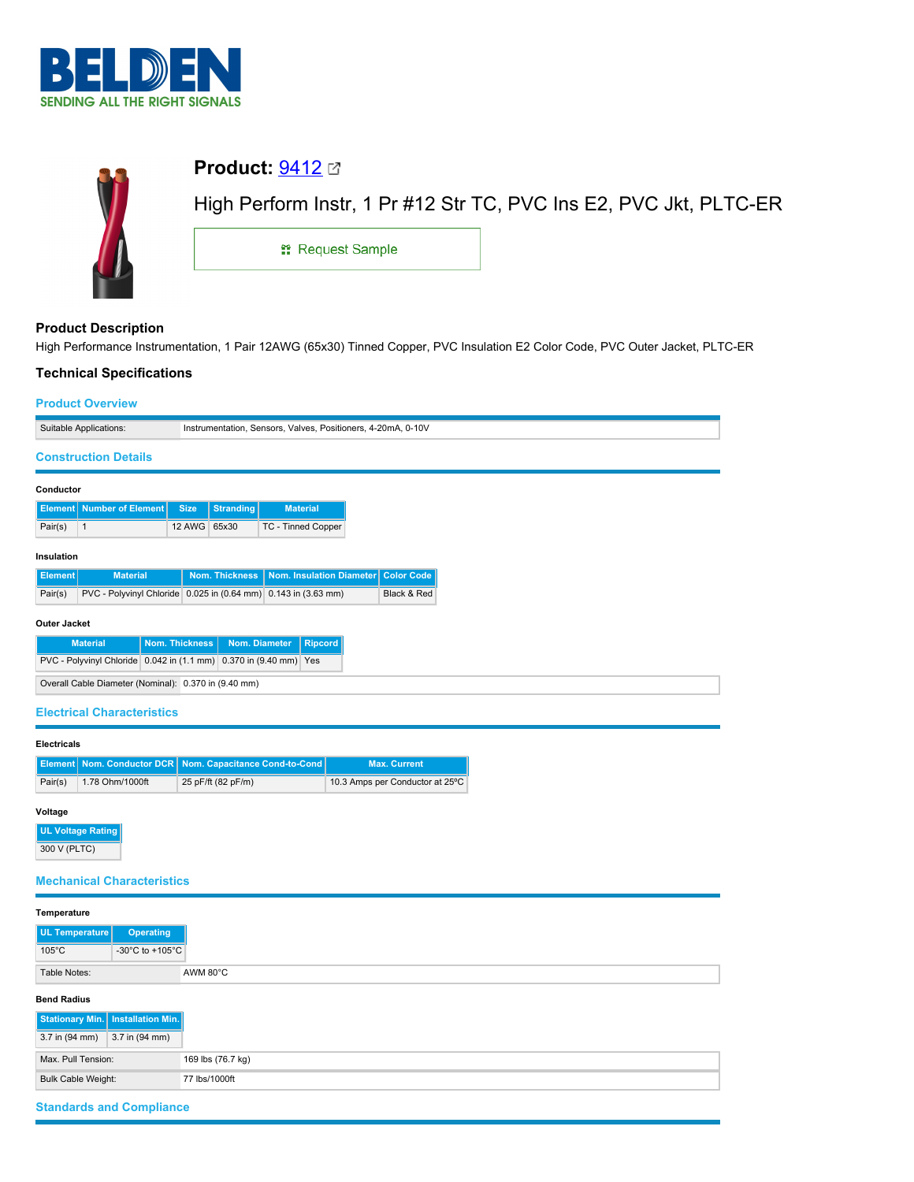



# **Product Description**

High Performance Instrumentation, 1 Pair 12AWG (65x30) Tinned Copper, PVC Insulation E2 Color Code, PVC Outer Jacket, PLTC-ER

## **Technical Specifications**

|                                                                                        | <b>Product Overview</b> |              |                  |                                                                |                                     |
|----------------------------------------------------------------------------------------|-------------------------|--------------|------------------|----------------------------------------------------------------|-------------------------------------|
| Suitable Applications:<br>Instrumentation, Sensors, Valves, Positioners, 4-20mA, 0-10V |                         |              |                  |                                                                |                                     |
| <b>Construction Details</b>                                                            |                         |              |                  |                                                                |                                     |
| Conductor                                                                              |                         |              |                  |                                                                |                                     |
| <b>Element   Number of Element</b>                                                     |                         | <b>Size</b>  | <b>Stranding</b> | <b>Material</b>                                                |                                     |
| $\mathbf{1}$<br>Pair(s)                                                                |                         | 12 AWG 65x30 |                  | TC - Tinned Copper                                             |                                     |
| Insulation                                                                             |                         |              |                  |                                                                |                                     |
| <b>Element</b><br><b>Material</b>                                                      |                         |              | Nom. Thickness   |                                                                | Nom. Insulation Diameter Color Code |
| Pair(s)                                                                                |                         |              |                  | PVC - Polyvinyl Chloride 0.025 in (0.64 mm) 0.143 in (3.63 mm) | Black & Red                         |
| <b>Outer Jacket</b>                                                                    |                         |              |                  |                                                                |                                     |
| <b>Material</b>                                                                        | <b>Nom. Thickness</b>   |              | Nom. Diameter    | <b>Ripcord</b>                                                 |                                     |
| PVC - Polyvinyl Chloride 0.042 in (1.1 mm) 0.370 in (9.40 mm) Yes                      |                         |              |                  |                                                                |                                     |
| Overall Cable Diameter (Nominal): 0.370 in (9.40 mm)                                   |                         |              |                  |                                                                |                                     |
| <b>Electrical Characteristics</b>                                                      |                         |              |                  |                                                                |                                     |

## **Electricals**

|         |                 | Element   Nom. Conductor DCR   Nom. Capacitance Cond-to-Cond | <b>Max. Current</b>             |
|---------|-----------------|--------------------------------------------------------------|---------------------------------|
| Pair(s) | 1.78 Ohm/1000ft | 25 pF/ft (82 pF/m)                                           | 10.3 Amps per Conductor at 25°C |

## **Voltage**

**UL Voltage Rating** 300 V (PLTC)

# **Mechanical Characteristics**

| Temperature                         |                                            |
|-------------------------------------|--------------------------------------------|
| UL Temperature                      | <b>Operating</b>                           |
| $105^{\circ}$ C                     | -30 $^{\circ}$ C to +105 $^{\circ}$ C      |
| Table Notes:                        | AWM 80°C                                   |
| <b>Bend Radius</b>                  |                                            |
| Stationary Min.   Installation Min. |                                            |
| 3.7 in (94 mm)                      | 3.7 in (94 mm)                             |
| Max. Pull Tension:                  |                                            |
|                                     | <b>Bulk Cable Weight:</b><br>77 lbs/1000ft |

# **Standards and Compliance**